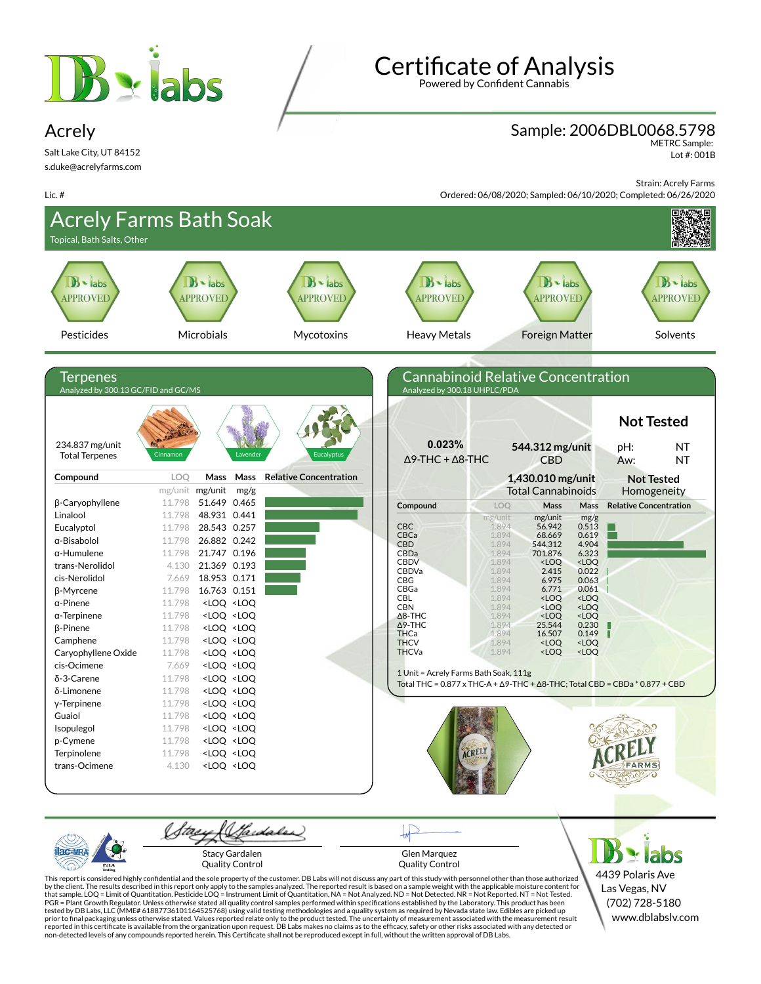

# **Certificate of Analysis**

Powered by Confident Cannabis

### Sample: 2006DBL0068.5798

METRC Sample: Lot #: 001B

Salt Lake City, UT 84152 s.duke@acrelyfarms.com

Acrely

Lic. #

Strain: Acrely Farms Ordered: 06/08/2020; Sampled: 06/10/2020; Completed: 06/26/2020



Stacy Gardalen Quality Control

Glen Marquez Quality Control

 $\geq$  labs 4439 Polaris Ave Las Vegas, NV (702) 728-5180 www.dblabslv.com

This report is considered highly confidential and the sole property of the customer. DB Labs will not discuss any part of this study with personnel other than those authorized<br>by the client. The results described in this r tested by DB Labs, LLC (MME# 61887736101164525768) using valid testing methodologies and a quality system as required by Nevada state law. Edibles are picked up<br>prior to final packaging unless otherwise stated. Values repo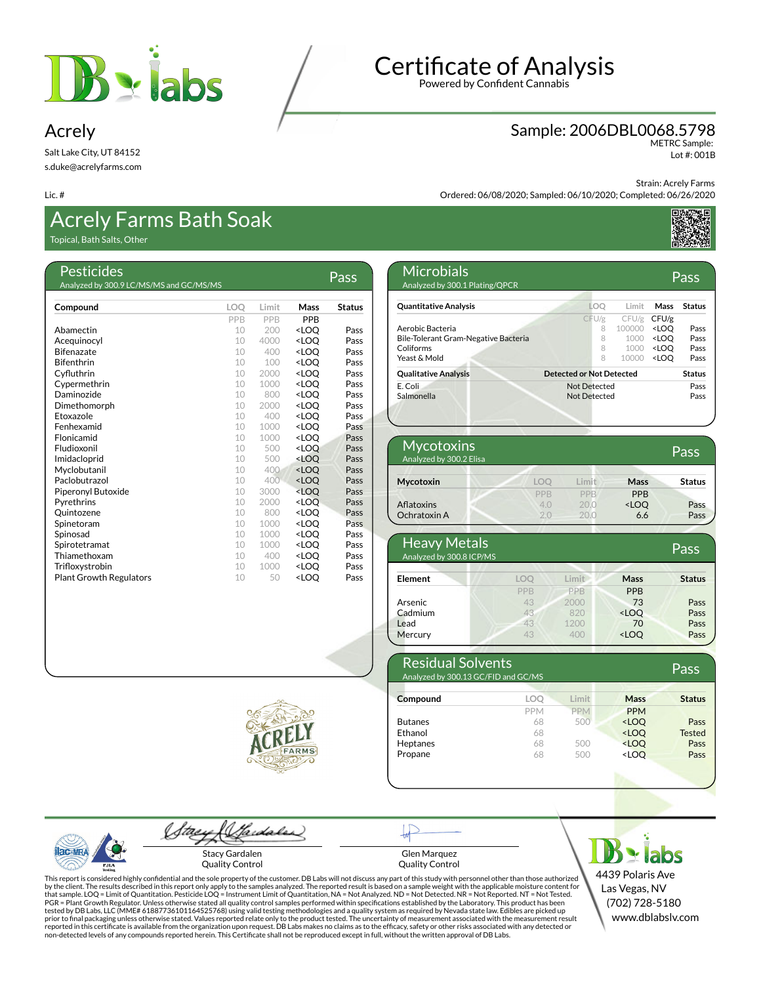

### Acrely

Salt Lake City, UT 84152 s.duke@acrelyfarms.com

#### Lic. #

### Acrely Farms Bath Soak

Topical, Bath Salts, Other

| Pesticides<br>Analyzed by 300.9 LC/MS/MS and GC/MS/MS |            |       |                                  | Pass          |
|-------------------------------------------------------|------------|-------|----------------------------------|---------------|
|                                                       |            |       |                                  |               |
| Compound                                              | <b>LOO</b> | Limit | Mass                             | <b>Status</b> |
|                                                       | PPB        | PPB   | <b>PPR</b>                       |               |
| Abamectin                                             | 10         | 200   | <loo< th=""><th>Pass</th></loo<> | Pass          |
| Acequinocyl                                           | 10         | 4000  | <loo< th=""><th>Pass</th></loo<> | Pass          |
| <b>Bifenazate</b>                                     | 10         | 400   | <loo< th=""><th>Pass</th></loo<> | Pass          |
| <b>Bifenthrin</b>                                     | 10         | 100   | <loo< th=""><th>Pass</th></loo<> | Pass          |
| Cyfluthrin                                            | 10         | 2000  | <loq< th=""><th>Pass</th></loq<> | Pass          |
| Cypermethrin                                          | 10         | 1000  | <loo< th=""><th>Pass</th></loo<> | Pass          |
| Daminozide                                            | 10         | 800   | <loo< th=""><th>Pass</th></loo<> | Pass          |
| Dimethomorph                                          | 10         | 2000  | <loq< th=""><th>Pass</th></loq<> | Pass          |
| Etoxazole                                             | 10         | 400   | <loq< th=""><th>Pass</th></loq<> | Pass          |
| Fenhexamid                                            | 10         | 1000  | <loo< th=""><th>Pass</th></loo<> | Pass          |
| Flonicamid                                            | 10         | 1000  | <loq< th=""><th>Pass</th></loq<> | Pass          |
| Fludioxonil                                           | 10         | 500   | <loo< th=""><th>Pass</th></loo<> | Pass          |
| Imidacloprid                                          | 10         | 500   | <loq< th=""><th>Pass</th></loq<> | Pass          |
| Myclobutanil                                          | 10         | 400   | <loo< th=""><th>Pass</th></loo<> | Pass          |
| Paclobutrazol                                         | 10         | 400   | <loo< th=""><th>Pass</th></loo<> | Pass          |
| Piperonyl Butoxide                                    | 10         | 3000  | <loq< th=""><th>Pass</th></loq<> | Pass          |
| Pyrethrins                                            | 10         | 2000  | <loo< th=""><th>Pass</th></loo<> | Pass          |
| Ouintozene                                            | 10         | 800   | <loo< th=""><th>Pass</th></loo<> | Pass          |
| Spinetoram                                            | 10         | 1000  | <loq< th=""><th>Pass</th></loq<> | Pass          |
| Spinosad                                              | 10         | 1000  | <loo< th=""><th>Pass</th></loo<> | Pass          |
| Spirotetramat                                         | 10         | 1000  | <loo< th=""><th>Pass</th></loo<> | Pass          |
| Thiamethoxam                                          | 10         | 400   | <loq< th=""><th>Pass</th></loq<> | Pass          |
| Trifloxystrobin                                       | 10         | 1000  | <loo< th=""><th>Pass</th></loo<> | Pass          |
| <b>Plant Growth Regulators</b>                        | 10         | 50    | <loo< th=""><th>Pass</th></loo<> | Pass          |

**Certificate of Analysis** 

Powered by Confident Cannabis

### Sample: 2006DBL0068.5798 METRC Sample:

Lot #: 001B

Strain: Acrely Farms

Ordered: 06/08/2020; Sampled: 06/10/2020; Completed: 06/26/2020



| <b>Microbials</b><br>Analyzed by 300.1 Plating/QPCR |                                 |        |                                  | Pass          |
|-----------------------------------------------------|---------------------------------|--------|----------------------------------|---------------|
| <b>Quantitative Analysis</b>                        | LOO                             | Limit  | Mass                             | <b>Status</b> |
|                                                     | CFU/g                           | CFU/g  | CFU/g                            |               |
| Aerobic Bacteria                                    | 8                               | 100000 | <loo< td=""><td>Pass</td></loo<> | Pass          |
| Bile-Tolerant Gram-Negative Bacteria                | 8                               | 1000   | <loo< td=""><td>Pass</td></loo<> | Pass          |
| Coliforms                                           | 8                               | 1000   | <loo< td=""><td>Pass</td></loo<> | Pass          |
| Yeast & Mold                                        | 8                               | 10000  | <loo< td=""><td>Pass</td></loo<> | Pass          |
| <b>Qualitative Analysis</b>                         | <b>Detected or Not Detected</b> |        |                                  | <b>Status</b> |
| E. Coli                                             | Not Detected                    |        |                                  | Pass          |
| Salmonella                                          | Not Detected                    |        |                                  | Pass          |

| Mycotoxins<br>Analyzed by 300.2 Elisa |     |            |                                  | Pass          |
|---------------------------------------|-----|------------|----------------------------------|---------------|
| Mycotoxin                             | LOO | Limit      | Mass                             | <b>Status</b> |
|                                       | PPB | <b>PPB</b> | <b>PPB</b>                       |               |
| <b>Aflatoxins</b>                     | 4.0 | 20.0       | <loq< td=""><td>Pass</td></loq<> | Pass          |
| Ochratoxin A                          |     | 20.0       | 6.6                              | Pass          |

| <b>Heavy Metals</b><br>Analyzed by 300.8 ICP/MS |            |            |                                  | Pass          |
|-------------------------------------------------|------------|------------|----------------------------------|---------------|
| Element                                         | LOO        | Limit      | Mass                             | <b>Status</b> |
|                                                 | <b>PPB</b> | <b>PPB</b> | <b>PPB</b>                       |               |
| Arsenic                                         | 43         | 2000       | 73                               | Pass          |
| Cadmium                                         | 43         | 820        | <loq< td=""><td>Pass</td></loq<> | Pass          |
| Lead                                            | 43         | 1200       | 70                               | Pass          |
| Mercury                                         | 43         | 400        | <loo< td=""><td>Pass</td></loo<> | Pass          |

| <b>Residual Solvents</b><br>Analyzed by 300.13 GC/FID and GC/MS |            |            |                                           | Pass          |
|-----------------------------------------------------------------|------------|------------|-------------------------------------------|---------------|
| Compound                                                        | LOQ        | Limit      | Mass                                      | <b>Status</b> |
|                                                                 | <b>PPM</b> | <b>PPM</b> | <b>PPM</b>                                |               |
| <b>Butanes</b>                                                  | 68         | 500        | <loq< td=""><td>Pass</td></loq<>          | Pass          |
| Ethanol                                                         | 68         |            | <loo< td=""><td><b>Tested</b></td></loo<> | <b>Tested</b> |
| Heptanes                                                        | 68         | 500        | <loo< td=""><td>Pass</td></loo<>          | Pass          |
| Propane                                                         | 68         | 500        | <loo< td=""><td>Pass</td></loo<>          | Pass          |





Sardaler tae Stacy Gardalen Quality Control

Glen Marquez Quality Control

This report is considered highly confidential and the sole property of the customer. DB Labs will not discuss any part of this study with personnel other than those authorized<br>by the client. The results described in this r

**Be labs** 4439 Polaris Ave Las Vegas, NV (702) 728-5180 www.dblabslv.com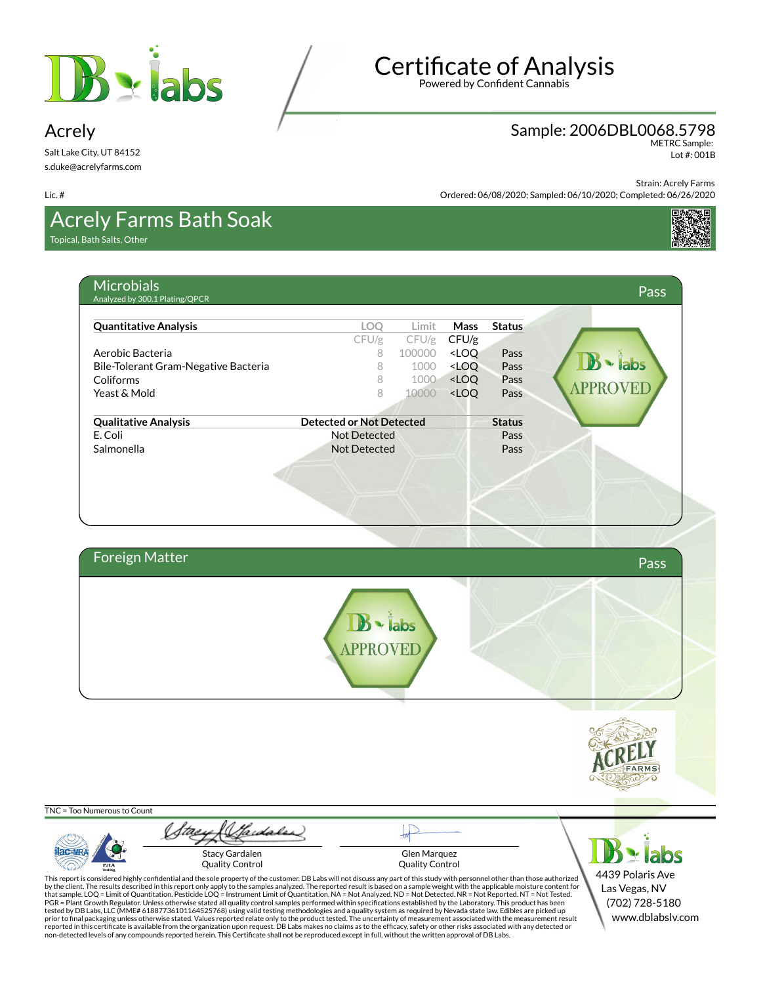



Sample: 2006DBL0068.5798

METRC Sample: Lot #: 001B

Strain: Acrely Farms

Ordered: 06/08/2020; Sampled: 06/10/2020; Completed: 06/26/2020

### Acrely Farms Bath Soak

Topical, Bath Salts, Other

Salt Lake City, UT 84152 s.duke@acrelyfarms.com

Acrely

Lic. #

| ul Jallo, Other                                     |                                 |        |                                  |               |
|-----------------------------------------------------|---------------------------------|--------|----------------------------------|---------------|
| <b>Microbials</b><br>Analyzed by 300.1 Plating/QPCR |                                 |        |                                  |               |
| <b>Quantitative Analysis</b>                        | LOO                             | Limit  | Mass                             | <b>Status</b> |
|                                                     | CFU/g                           | CFU/g  | CFU/g                            |               |
| Aerobic Bacteria                                    | 8                               | 100000 | <loo< td=""><td>Pass</td></loo<> | Pass          |
| Bile-Tolerant Gram-Negative Bacteria                | 8                               | 1000   | <loq< td=""><td>Pass</td></loq<> | Pass          |
| Coliforms                                           | 8                               | 1000   | <loq< td=""><td>Pass</td></loq<> | Pass          |
| Yeast & Mold                                        | 8                               | 10000  | <loo< td=""><td>Pass</td></loo<> | Pass          |
| <b>Qualitative Analysis</b>                         | <b>Detected or Not Detected</b> |        |                                  | <b>Status</b> |
| E. Coli                                             | <b>Not Detected</b>             |        |                                  | Pass          |
| Salmonella                                          | <b>Not Detected</b>             |        |                                  | Pass          |

| Foreign Matter |          | Pass |
|----------------|----------|------|
|                | B - labs |      |
|                |          |      |



TNC = Too Numerous to Count

**ac-MR** PJLA

Stacy (Sadales) Stacy Gardalen Quality Control

Glen Marquez Quality Control

This report is considered highly confidential and the sole property of the customer. DB Labs will not discuss any part of this study with personnel other than those authorized<br>by the client. The results described in this r tested by DB Labs, LLC (MME# 61887736101164525768) using valid testing methodologies and a quality system as required by Nevada state law. Edibles are picked up<br>prior to final packaging unless otherwise stated. Values repo



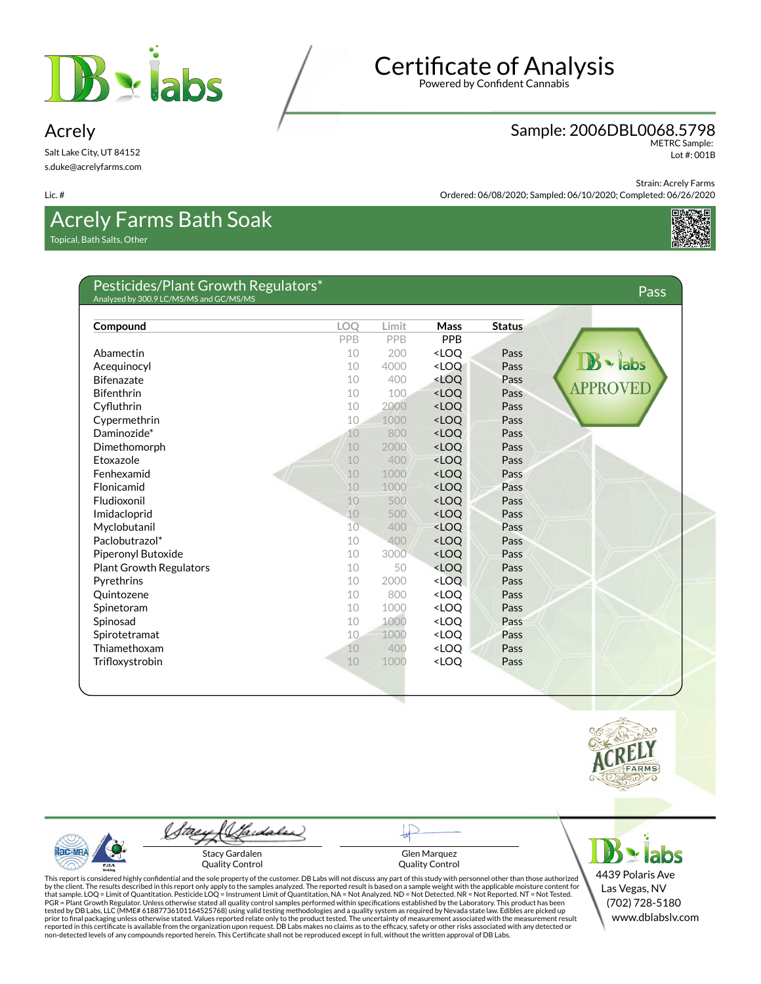

Acrely

Lic. #

Salt Lake City, UT 84152 s.duke@acrelyfarms.com

## **Certificate of Analysis**

Powered by Confident Cannabis

#### Sample: 2006DBL0068.5798 METRC Sample:

Lot #: 001B

Strain: Acrely Farms Ordered: 06/08/2020; Sampled: 06/10/2020; Completed: 06/26/2020



Acrely Farms Bath Soak Topical, Bath Salts, Other

Pesticides/Plant Growth Regulators\* Analyzed by 300.9 LC/MS/MS and GC/MS/MS Pass

| Compound                       | <b>LOO</b>      | Limit | <b>Mass</b>                      | <b>Status</b> |
|--------------------------------|-----------------|-------|----------------------------------|---------------|
|                                | PPB             | PPB   | PPB                              |               |
| Abamectin                      | 10              | 200   | <loo< td=""><td>Pass</td></loo<> | Pass          |
| Acequinocyl                    | 10              | 4000  | <loq< td=""><td>Pass</td></loq<> | Pass          |
| <b>Bifenazate</b>              | 10              | 400   | <loq< td=""><td>Pass</td></loq<> | Pass          |
| <b>Bifenthrin</b>              | 10              | 100   | <loq< td=""><td>Pass</td></loq<> | Pass          |
| Cyfluthrin                     | 10              | 2000  | <loq< td=""><td>Pass</td></loq<> | Pass          |
| Cypermethrin                   | 10              | 1000  | <loq< td=""><td>Pass</td></loq<> | Pass          |
| Daminozide*                    | 10              | 800   | <loq< td=""><td>Pass</td></loq<> | Pass          |
| Dimethomorph                   | 10              | 2000  | <loq< td=""><td>Pass</td></loq<> | Pass          |
| Etoxazole                      | 10              | 400   | <loq< td=""><td>Pass</td></loq<> | Pass          |
| Fenhexamid                     | 10              | 1000  | <loq< td=""><td>Pass</td></loq<> | Pass          |
| Flonicamid                     | 10              | 1000  | <loq< td=""><td>Pass</td></loq<> | Pass          |
| Fludioxonil                    | 10              | 500   | <loq< td=""><td>Pass</td></loq<> | Pass          |
| Imidacloprid                   | 10              | 500   | <loq< td=""><td>Pass</td></loq<> | Pass          |
| Myclobutanil                   | 10 <sup>°</sup> | 400   | <loq< td=""><td>Pass</td></loq<> | Pass          |
| Paclobutrazol*                 | 10              | 400   | <loq< td=""><td>Pass</td></loq<> | Pass          |
| Piperonyl Butoxide             | 10              | 3000  | <loq< td=""><td>Pass</td></loq<> | Pass          |
| <b>Plant Growth Regulators</b> | 10              | 50    | <loq< td=""><td>Pass</td></loq<> | Pass          |
| Pyrethrins                     | 10              | 2000  | <loq< td=""><td>Pass</td></loq<> | Pass          |
| Quintozene                     | 10              | 800   | <loq< td=""><td>Pass</td></loq<> | Pass          |
| Spinetoram                     | 10              | 1000  | <loq< td=""><td>Pass</td></loq<> | Pass          |
| Spinosad                       | 10              | 1000  | <loq< td=""><td>Pass</td></loq<> | Pass          |
| Spirotetramat                  | 10              | 1000  | <loq< td=""><td>Pass</td></loq<> | Pass          |
| Thiamethoxam                   | 10              | 400   | <loq< td=""><td>Pass</td></loq<> | Pass          |
| Trifloxystrobin                | 10              | 1000  | <loq< td=""><td>Pass</td></loq<> | Pass          |
|                                |                 |       |                                  |               |



 $AC-MR$ PJL/



Glen Marquez Quality Control

This report is considered highly confidential and the sole property of the customer. DB Labs will not discuss any part of this study with personnel other than those authorized<br>by the client. The results described in this r



4439 Polaris Ave Las Vegas, NV (702) 728-5180 www.dblabslv.com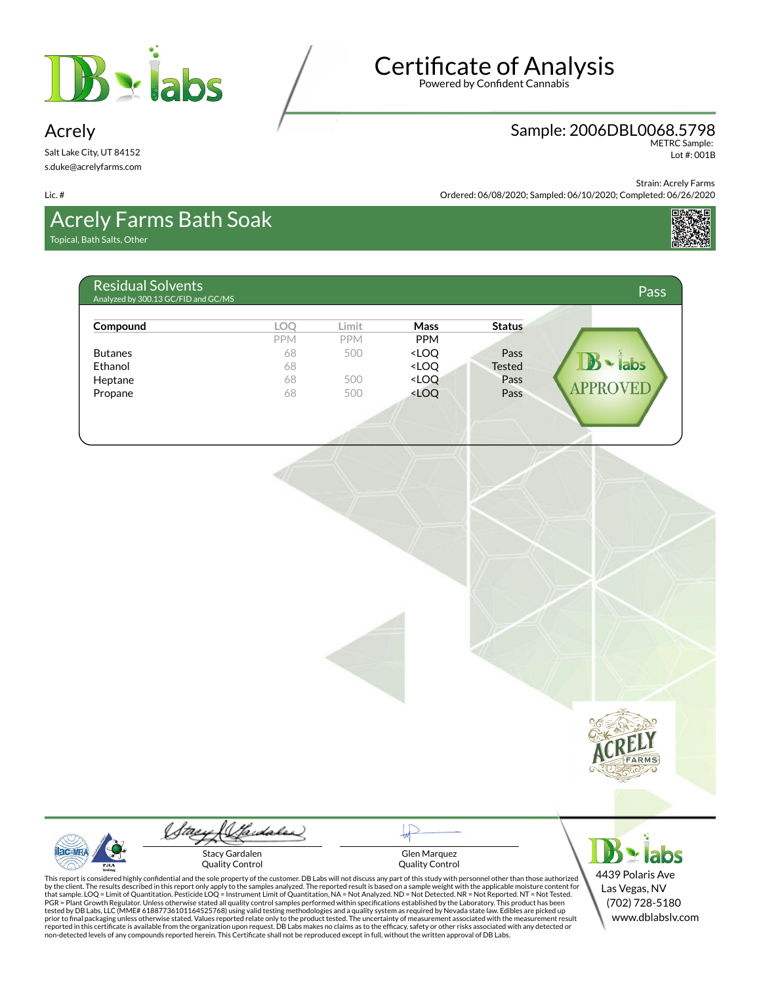



### Sample: 2006DBL0068.5798

METRC Sample: Lot #: 001B

Strain: Acrely Farms

Ordered: 06/08/2020; Sampled: 06/10/2020; Completed: 06/26/2020

# Acrely Farms Bath Soak

Topical, Bath Salts, Other

Salt Lake City, UT 84152 s.duke@acrelyfarms.com

Acrely

Lic. #

| Compound       | <b>LOO</b> | Limit      | <b>Mass</b>                                                                      | <b>Status</b> |                     |
|----------------|------------|------------|----------------------------------------------------------------------------------|---------------|---------------------|
|                | <b>PPM</b> | <b>PPM</b> | <b>PPM</b>                                                                       |               |                     |
| <b>Butanes</b> | 68         | 500        | <loq< td=""><td>Pass</td><td></td></loq<>                                        | Pass          |                     |
| Ethanol        | 68         |            | <loq< td=""><td><b>Tested</b></td><td><math>\mathbf{B}</math> - labs</td></loq<> | <b>Tested</b> | $\mathbf{B}$ - labs |
| Heptane        | 68         | 500        | <loq< td=""><td>Pass</td><td></td></loq<>                                        | Pass          |                     |
| Propane        | 68         | 500        | <loq< td=""><td>Pass</td><td><b>APPROVEL</b></td></loq<>                         | Pass          | <b>APPROVEL</b>     |



Gardaler Stacy Gardalen

Quality Control

Glen Marquez Quality Control

 $B \times$  labs 4439 Polaris Ave Las Vegas, NV (702) 728-5180 www.dblabslv.com

This report is considered highly confidential and the sole property of the customer. DB Labs will not discuss any part of this study with personnel other than those authorized<br>by the client. The results described in this r